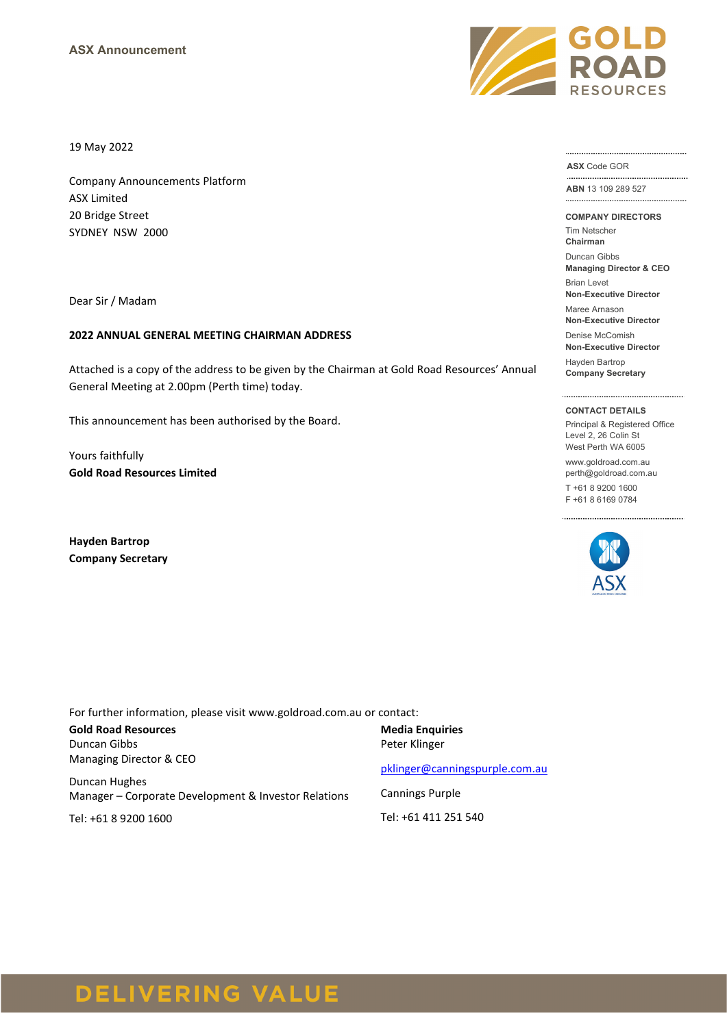

19 May 2022

Company Announcements Platform ASX Limited 20 Bridge Street SYDNEY NSW 2000

Dear Sir / Madam

#### **2022 ANNUAL GENERAL MEETING CHAIRMAN ADDRESS**

Attached is a copy of the address to be given by the Chairman at Gold Road Resources' Annual General Meeting at 2.00pm (Perth time) today.

This announcement has been authorised by the Board.

Yours faithfully **Gold Road Resources Limited**

**Hayden Bartrop Company Secretary** **ASX** Code GOR

**ABN** 13 109 289 527 

**COMPANY DIRECTORS**

Tim Netscher **Chairman**

Duncan Gibbs

**Managing Director & CEO** Brian Levet

**Non-Executive Director** Maree Arnason

**Non-Executive Director** Denise McComish

**Non-Executive Director**

Hayden Bartrop **Company Secretary**

#### **CONTACT DETAILS**

Principal & Registered Office Level 2, 26 Colin St West Perth WA 6005

www.goldroad.com.au perth@goldroad.com.au

T +61 8 9200 1600 F +61 8 6169 0784



For further information, please visit www.goldroad.com.au or contact:

**Gold Road Resources** Duncan Gibbs Managing Director & CEO

Duncan Hughes Manager – Corporate Development & Investor Relations

Tel: +61 8 9200 1600

# **Media Enquiries** Peter Klinger

[pklinger@canningspurple.com.au](mailto:pklinger@canningspurple.com.au)

Cannings Purple

Tel: +61 411 251 540

# **DELIVERING VALUE**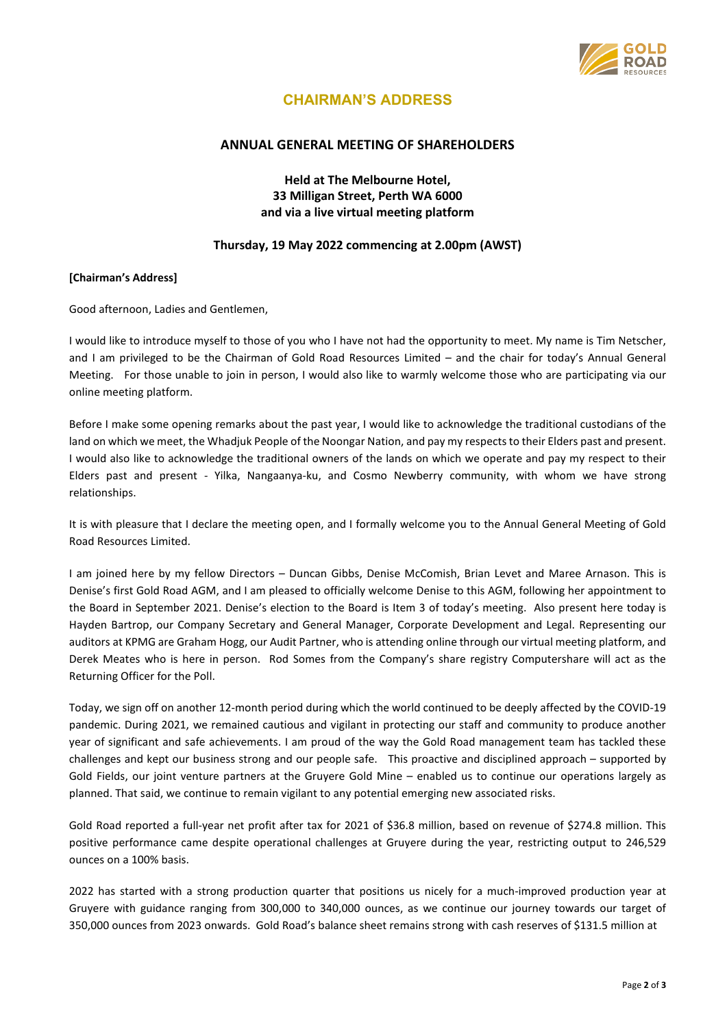

# **CHAIRMAN'S ADDRESS**

## **ANNUAL GENERAL MEETING OF SHAREHOLDERS**

**Held at The Melbourne Hotel, 33 Milligan Street, Perth WA 6000 and via a live virtual meeting platform**

## **Thursday, 19 May 2022 commencing at 2.00pm (AWST)**

### **[Chairman's Address]**

Good afternoon, Ladies and Gentlemen,

I would like to introduce myself to those of you who I have not had the opportunity to meet. My name is Tim Netscher, and I am privileged to be the Chairman of Gold Road Resources Limited – and the chair for today's Annual General Meeting. For those unable to join in person, I would also like to warmly welcome those who are participating via our online meeting platform.

Before I make some opening remarks about the past year, I would like to acknowledge the traditional custodians of the land on which we meet, the Whadjuk People of the Noongar Nation, and pay my respects to their Elders past and present. I would also like to acknowledge the traditional owners of the lands on which we operate and pay my respect to their Elders past and present - Yilka, Nangaanya-ku, and Cosmo Newberry community, with whom we have strong relationships.

It is with pleasure that I declare the meeting open, and I formally welcome you to the Annual General Meeting of Gold Road Resources Limited.

I am joined here by my fellow Directors – Duncan Gibbs, Denise McComish, Brian Levet and Maree Arnason. This is Denise's first Gold Road AGM, and I am pleased to officially welcome Denise to this AGM, following her appointment to the Board in September 2021. Denise's election to the Board is Item 3 of today's meeting. Also present here today is Hayden Bartrop, our Company Secretary and General Manager, Corporate Development and Legal. Representing our auditors at KPMG are Graham Hogg, our Audit Partner, who is attending online through our virtual meeting platform, and Derek Meates who is here in person. Rod Somes from the Company's share registry Computershare will act as the Returning Officer for the Poll.

Today, we sign off on another 12-month period during which the world continued to be deeply affected by the COVID-19 pandemic. During 2021, we remained cautious and vigilant in protecting our staff and community to produce another year of significant and safe achievements. I am proud of the way the Gold Road management team has tackled these challenges and kept our business strong and our people safe. This proactive and disciplined approach – supported by Gold Fields, our joint venture partners at the Gruyere Gold Mine – enabled us to continue our operations largely as planned. That said, we continue to remain vigilant to any potential emerging new associated risks.

Gold Road reported a full-year net profit after tax for 2021 of \$36.8 million, based on revenue of \$274.8 million. This positive performance came despite operational challenges at Gruyere during the year, restricting output to 246,529 ounces on a 100% basis.

2022 has started with a strong production quarter that positions us nicely for a much-improved production year at Gruyere with guidance ranging from 300,000 to 340,000 ounces, as we continue our journey towards our target of 350,000 ounces from 2023 onwards. Gold Road's balance sheet remains strong with cash reserves of \$131.5 million at